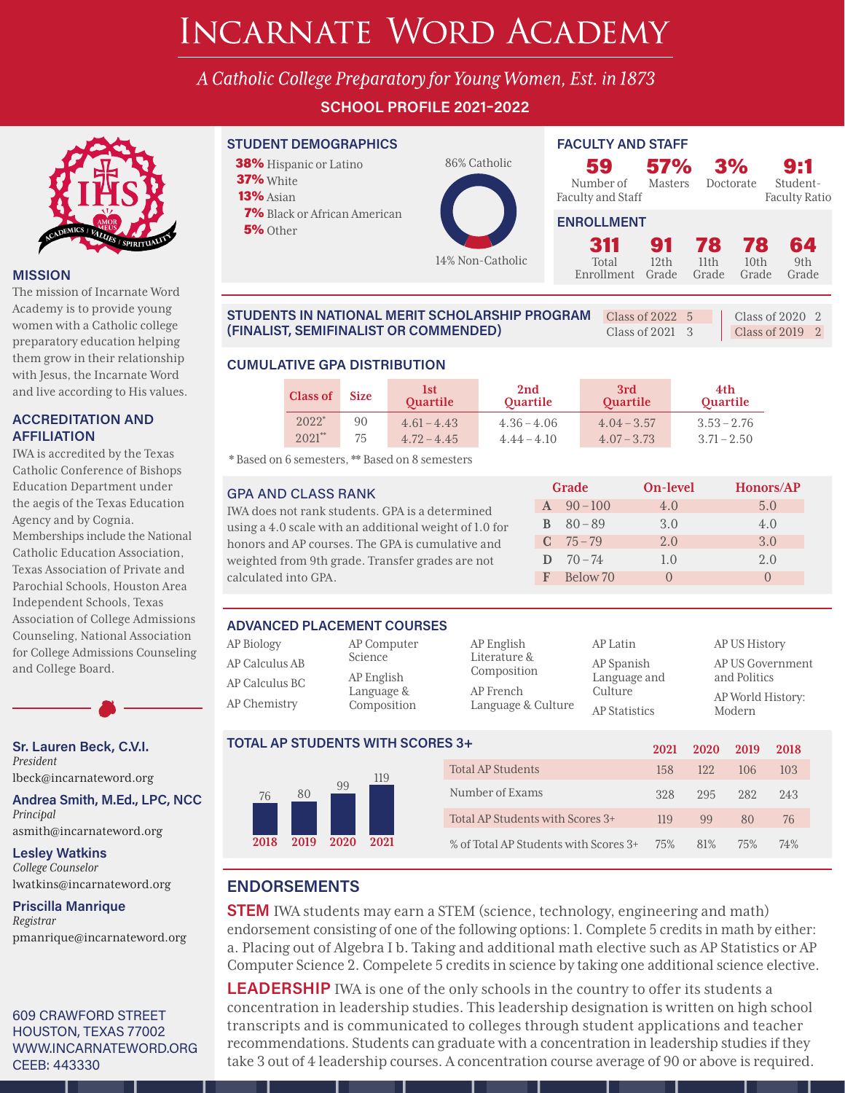# INCARNATE WORD ACADEMY

A Catholic College Preparatory for Young Women, Est. in 1873

**SCHOOL PROFILE 2021–2022**



#### **MISSION**

The mission of Incarnate Word Academy is to provide young women with a Catholic college preparatory education helping them grow in their relationship with Jesus, the Incarnate Word and live according to His values.

#### **ACCREDITATION AND AFFILIATION**

IWA is accredited by the Texas Catholic Conference of Bishops Education Department under the aegis of the Texas Education Agency and by Cognia. Memberships include the National Catholic Education Association, Texas Association of Private and Parochial Schools, Houston Area Independent Schools, Texas Association of College Admissions Counseling, National Association for College Admissions Counseling and College Board.

**Sr. Lauren Beck, C.V.I.** *President* lbeck@incarnateword.org

**Andrea Smith, M.Ed., LPC, NCC** *Principal* asmith@incarnateword.org

**Lesley Watkins** *College Counselor*

lwatkins@incarnateword.org

**Priscilla Manrique** *Registrar* pmanrique@incarnateword.org

609 CRAWFORD STREET HOUSTON, TEXAS 77002 WWW.INCARNATEWORD.ORG CEEB: 443330

### **STUDENT DEMOGRAPHICS FACULTY AND STAFF**

38% Hispanic or Latino 37% White 13% Asian 7% Black or African American

**5%** Other



| 59                             | <b>57%</b> |
|--------------------------------|------------|
| Number of<br>Faculty and Staff | Masters    |
| <b>ENROLLMENT</b>              |            |

| ١ff | . . <i>.</i> .<br><b>Masters</b> | Doctorate | . . |  |
|-----|----------------------------------|-----------|-----|--|
| ۷Т  |                                  |           |     |  |

3%

Student-Faculty Ratio

9:1

| <b>ENROLLMENT</b>                  |      |  |           |       |  |  |  |  |  |
|------------------------------------|------|--|-----------|-------|--|--|--|--|--|
| 311 91 78 78 64                    |      |  |           |       |  |  |  |  |  |
| Total                              | 12th |  | 11th 10th | - 9th |  |  |  |  |  |
| Enrollment Grade Grade Grade Grade |      |  |           |       |  |  |  |  |  |

| <b>STUDENTS IN NATIONAL MERIT SCHOLARSHIP PROGRAM</b> $\Box$ Class of 2022 5 |                         | Class of 2020 2   |
|------------------------------------------------------------------------------|-------------------------|-------------------|
| (FINALIST, SEMIFINALIST OR COMMENDED)                                        | Class of $2021 \quad 3$ | Class of $2019$ 2 |

#### **CUMULATIVE GPA DISTRIBUTION**

| <b>Class of</b>     | <b>Size</b> | 1st<br>Quartile | 2 <sub>nd</sub><br><b>Quartile</b> | 3rd<br><b>Quartile</b> | 4th<br><b>Quartile</b> |
|---------------------|-------------|-----------------|------------------------------------|------------------------|------------------------|
| $2022$ <sup>*</sup> | 90          | $4.61 - 4.43$   | $4.36 - 4.06$                      | $4.04 - 3.57$          | $3.53 - 2.76$          |
| $2021$ **           | 75          | $4.72 - 4.45$   | $4.44 - 4.10$                      | $4.07 - 3.73$          | $3.71 - 2.50$          |

\* Based on 6 semesters, \*\* Based on 8 semesters

#### GPA AND CLASS RANK

IWA does not rank students. GPA is a determined using a 4.0 scale with an additional weight of 1.0 for honors and AP courses. The GPA is cumulative and weighted from 9th grade. Transfer grades are not calculated into GPA.

| $A \quad 90-100$<br>4.0<br>5.0<br>$B = 80 - 89$<br>3.0<br>4.0<br>$C = 75 - 79$<br>3.0<br>2.0<br>$D = 70 - 74$<br>1.0<br>2.0<br>F Below 70 | Grade |  | On-level | Honors/AP |  |
|-------------------------------------------------------------------------------------------------------------------------------------------|-------|--|----------|-----------|--|
|                                                                                                                                           |       |  |          |           |  |
|                                                                                                                                           |       |  |          |           |  |
|                                                                                                                                           |       |  |          |           |  |
|                                                                                                                                           |       |  |          |           |  |
|                                                                                                                                           |       |  |          |           |  |

#### **ADVANCED PLACEMENT COURSES**

| AP Biology                       | AP Computer<br>Science   | AP<br>Lit |
|----------------------------------|--------------------------|-----------|
| AP Calculus AB<br>AP Calculus BC | AP English<br>Language & | Co<br>АP  |
| AP Chemistry                     | Composition              | La        |

| AP English<br>Literature &<br>Composition |
|-------------------------------------------|
| AP French<br>Language & Culture           |

| AP Latin             |  |
|----------------------|--|
| AP Spanish           |  |
| Language and         |  |
| Culture              |  |
| <b>AP Statistics</b> |  |

AP US History AP US Government and Politics AP World History: Modern

|      | <b>TOTAL AP STUDENTS WITH SCORES 3+</b> |      |                   |     | 2021                                  | 2020 | 2019 | 2018 |     |
|------|-----------------------------------------|------|-------------------|-----|---------------------------------------|------|------|------|-----|
|      | 119                                     |      | Total AP Students | 158 | 12.2.                                 | 106  | 103  |      |     |
| 76   | 80                                      | 99   |                   |     | Number of Exams                       | 328  | 295  | 2.82 | 243 |
|      |                                         |      |                   |     | Total AP Students with Scores 3+      | 119  | 99   | 80   | 76  |
| 2018 | 2019                                    | 2020 | 2021              |     | % of Total AP Students with Scores 3+ | 75%  | 81%  | 75%  | 74% |

## **ENDORSEMENTS**

**STEM** IWA students may earn a STEM (science, technology, engineering and math) endorsement consisting of one of the following options: 1. Complete 5 credits in math by either: a. Placing out of Algebra I b. Taking and additional math elective such as AP Statistics or AP Computer Science 2. Compelete 5 credits in science by taking one additional science elective.

**LEADERSHIP** IWA is one of the only schools in the country to offer its students a concentration in leadership studies. This leadership designation is written on high school transcripts and is communicated to colleges through student applications and teacher recommendations. Students can graduate with a concentration in leadership studies if they take 3 out of 4 leadership courses. A concentration course average of 90 or above is required.